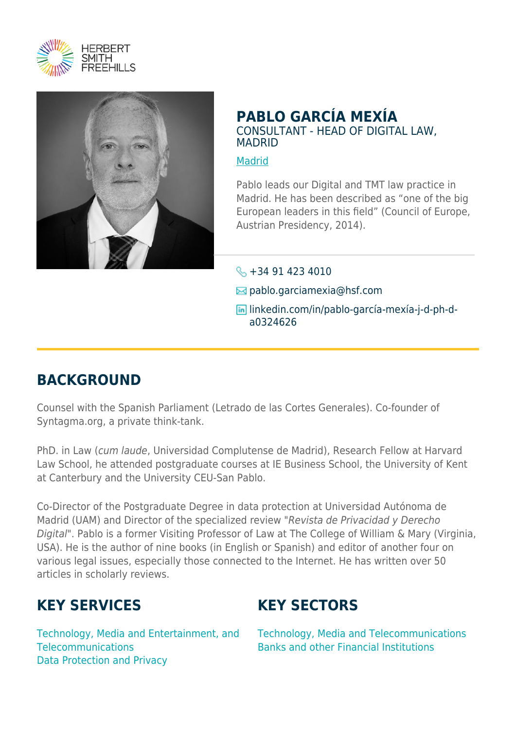



### **PABLO GARCÍA MEXÍA** CONSULTANT - HEAD OF DIGITAL LAW, MADRID

#### [Madrid](https://www.herbertsmithfreehills.com/lang-zh-hans/where-we-work/madrid)

Pablo leads our Digital and TMT law practice in Madrid. He has been described as "one of the big European leaders in this field" (Council of Europe, Austrian Presidency, 2014).

#### $\leftarrow$  +34 91 423 4010

- $\boxtimes$  pablo.garciamexia@hsf.com
- linkedin.com/in/pablo-garcía-mexía-j-d-ph-da0324626

## **BACKGROUND**

Counsel with the Spanish Parliament (Letrado de las Cortes Generales). Co-founder of Syntagma.org, a private think-tank.

PhD. in Law (cum laude, Universidad Complutense de Madrid), Research Fellow at Harvard Law School, he attended postgraduate courses at IE Business School, the University of Kent at Canterbury and the University CEU-San Pablo.

Co-Director of the Postgraduate Degree in data protection at Universidad Autónoma de Madrid (UAM) and Director of the specialized review "Revista de Privacidad y Derecho Digital". Pablo is a former Visiting Professor of Law at The College of William & Mary (Virginia, USA). He is the author of nine books (in English or Spanish) and editor of another four on various legal issues, especially those connected to the Internet. He has written over 50 articles in scholarly reviews.

## **KEY SERVICES**

Technology, Media and Entertainment, and **Telecommunications** Data Protection and Privacy

# **KEY SECTORS**

Technology, Media and Telecommunications Banks and other Financial Institutions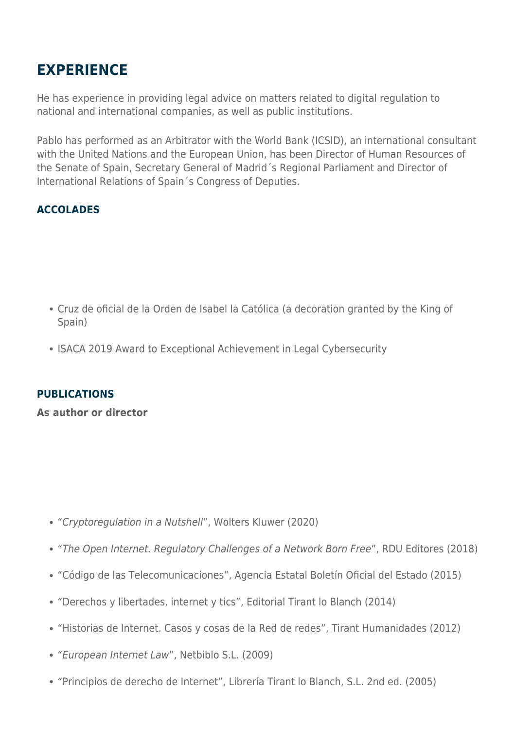# **EXPERIENCE**

He has experience in providing legal advice on matters related to digital regulation to national and international companies, as well as public institutions.

Pablo has performed as an Arbitrator with the World Bank (ICSID), an international consultant with the United Nations and the European Union, has been Director of Human Resources of the Senate of Spain, Secretary General of Madrid´s Regional Parliament and Director of International Relations of Spain´s Congress of Deputies.

### **ACCOLADES**

- Cruz de oficial de la Orden de Isabel la Católica (a decoration granted by the King of Spain)
- ISACA 2019 Award to Exceptional Achievement in Legal Cybersecurity

#### **PUBLICATIONS**

**As author or director**

- "Cryptoregulation in a Nutshell", Wolters Kluwer (2020)
- "The Open Internet. Regulatory Challenges of a Network Born Free", RDU Editores (2018)
- "Código de las Telecomunicaciones", Agencia Estatal Boletín Oficial del Estado (2015)
- "Derechos y libertades, internet y tics", Editorial Tirant lo Blanch (2014)
- "Historias de Internet. Casos y cosas de la Red de redes", Tirant Humanidades (2012)
- "European Internet Law", Netbiblo S.L. (2009)
- "Principios de derecho de Internet", Librería Tirant lo Blanch, S.L. 2nd ed. (2005)